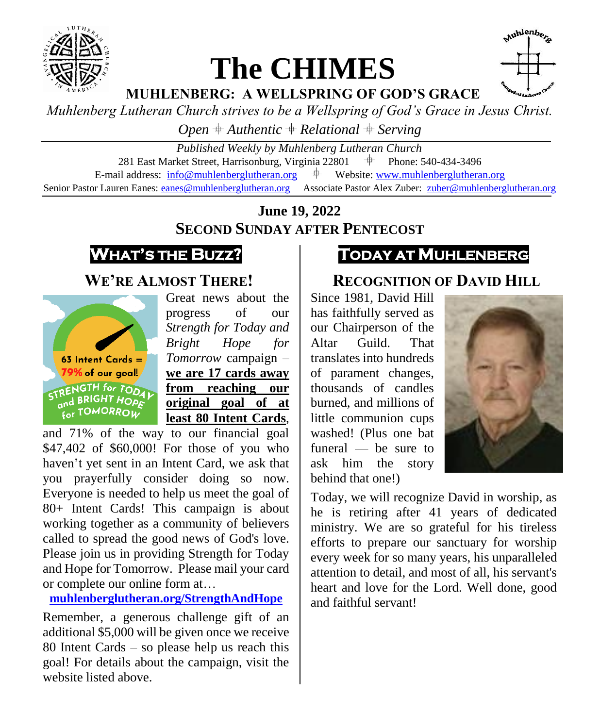

## **The CHIMES**



**MUHLENBERG: A WELLSPRING OF GOD'S GRACE**

*Muhlenberg Lutheran Church strives to be a Wellspring of God's Grace in Jesus Christ.*

*Open*  $#$  *Authentic*  $#$  *Relational*  $#$  *Serving* 

*Published Weekly by Muhlenberg Lutheran Church* 281 East Market Street, Harrisonburg, Virginia 22801  $\#$  Phone: 540-434-3496 E-mail address:  $info@muhlenberglutheran.org$   $\qquad$  Website: [www.muhlenberglutheran.org](http://www.muhlenberglutheran.org/) Senior Pastor Lauren Eanes[: eanes@muhlenberglutheran.org](mailto:eanes@muhlenberglutheran.org) Associate Pastor Alex Zuber: [zuber@muhlenberglutheran.org](mailto:zuber@muhlenberglutheran.org)

> **June 19, 2022 SECOND SUNDAY AFTER PENTECOST**



#### **WE'RE ALMOST THERE!**



Great news about the progress of our *Strength for Today and Bright Hope for Tomorrow* campaign – **we are 17 cards away from reaching our original goal of at least 80 Intent Cards**,

and 71% of the way to our financial goal \$47,402 of \$60,000! For those of you who haven't yet sent in an Intent Card, we ask that you prayerfully consider doing so now. Everyone is needed to help us meet the goal of 80+ Intent Cards! This campaign is about working together as a community of believers called to spread the good news of God's love. Please join us in providing Strength for Today and Hope for Tomorrow. Please mail your card or complete our online form at…

**[muhlenberglutheran.org/StrengthAndHope](http://muhlenberglutheran.org/StrengthAndHope)**

Remember, a generous challenge gift of an additional \$5,000 will be given once we receive 80 Intent Cards – so please help us reach this goal! For details about the campaign, visit the website listed above.

## **TODAY AT MUHLENBERG**

#### **RECOGNITION OF DAVID HILL**

Since 1981, David Hill has faithfully served as our Chairperson of the Altar Guild. That translates into hundreds of parament changes, thousands of candles burned, and millions of little communion cups washed! (Plus one bat funeral — be sure to ask him the story behind that one!)



Today, we will recognize David in worship, as he is retiring after 41 years of dedicated ministry. We are so grateful for his tireless efforts to prepare our sanctuary for worship every week for so many years, his unparalleled attention to detail, and most of all, his servant's heart and love for the Lord. Well done, good and faithful servant!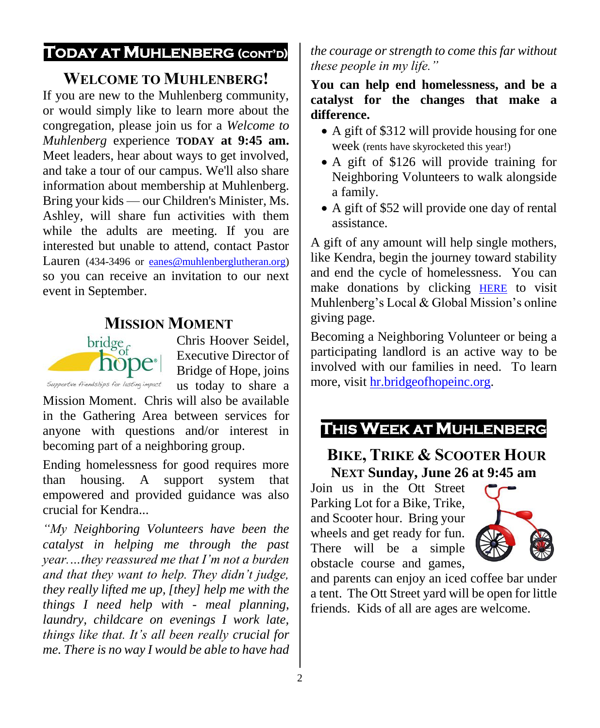#### **TODAY AT MUHLENBERG (CONT'D)**

#### **WELCOME TO MUHLENBERG!**

If you are new to the Muhlenberg community, or would simply like to learn more about the congregation, please join us for a *Welcome to Muhlenberg* experience **TODAY at 9:45 am.** Meet leaders, hear about ways to get involved, and take a tour of our campus. We'll also share information about membership at Muhlenberg. Bring your kids — our Children's Minister, Ms. Ashley, will share fun activities with them while the adults are meeting. If you are interested but unable to attend, contact Pastor Lauren (434-3496 or [eanes@muhlenberglutheran.org\)](mailto:eanes@muhlenberglutheran.org) so you can receive an invitation to our next event in September.

# **MISSION MOMENT**<br>bridge<sub>c</sub> Chris Hoop



Chris Hoover Seidel, Executive Director of Bridge of Hope, joins us today to share a

Mission Moment. Chris will also be available in the Gathering Area between services for anyone with questions and/or interest in becoming part of a neighboring group.

Ending homelessness for good requires more than housing. A support system that empowered and provided guidance was also crucial for Kendra...

*"My Neighboring Volunteers have been the catalyst in helping me through the past year.…they reassured me that I'm not a burden and that they want to help. They didn't judge, they really lifted me up, [they] help me with the things I need help with - meal planning, laundry, childcare on evenings I work late, things like that. It's all been really crucial for me. There is no way I would be able to have had*  *the courage or strength to come this far without these people in my life."*

#### **You can help end homelessness, and be a catalyst for the changes that make a difference.**

- A gift of \$312 will provide housing for one week (rents have skyrocketed this year!)
- A gift of \$126 will provide training for Neighboring Volunteers to walk alongside a family.
- A gift of \$52 will provide one day of rental assistance.

A gift of any amount will help single mothers, like Kendra, begin the journey toward stability and end the cycle of homelessness. You can make donations by clicking [HERE](https://secure.myvanco.com/YKC0/campaign/C-12J6Z) to visit Muhlenberg's Local & Global Mission's online giving page.

Becoming a Neighboring Volunteer or being a participating landlord is an active way to be involved with our families in need. To learn more, visit [hr.bridgeofhopeinc.org.](https://hr.bridgeofhopeinc.org/)



#### **BIKE, TRIKE & SCOOTER HOUR NEXT Sunday, June 26 at 9:45 am**

Join us in the Ott Street Parking Lot for a Bike, Trike, and Scooter hour. Bring your wheels and get ready for fun. There will be a simple obstacle course and games,



and parents can enjoy an iced coffee bar under a tent. The Ott Street yard will be open for little friends. Kids of all are ages are welcome.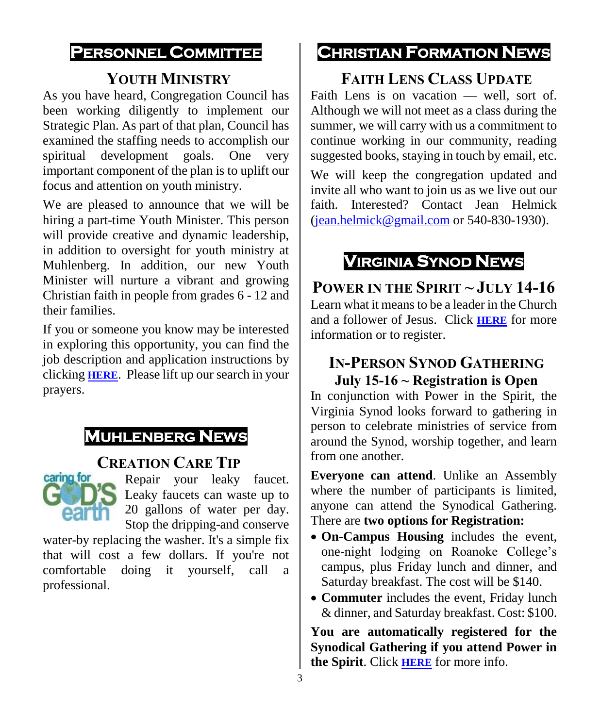#### **PERSONNEL COMMITTEE**

#### **YOUTH MINISTRY**

As you have heard, Congregation Council has been working diligently to implement our Strategic Plan. As part of that plan, Council has examined the staffing needs to accomplish our spiritual development goals. One very important component of the plan is to uplift our focus and attention on youth ministry.

We are pleased to announce that we will be hiring a part-time Youth Minister. This person will provide creative and dynamic leadership, in addition to oversight for youth ministry at Muhlenberg. In addition, our new Youth Minister will nurture a vibrant and growing Christian faith in people from grades 6 - 12 and their families.

If you or someone you know may be interested in exploring this opportunity, you can find the job description and application instructions by clicking **[HERE](https://www.muhlenberglutheran.org/jobs.html)**. Please lift up our search in your prayers.

## **MUHLENBERG NEWS**

#### **CREATION CARE TIP**



Repair your leaky faucet. Leaky faucets can waste up to 20 gallons of water per day. Stop the dripping-and conserve

water-by replacing the washer. It's a simple fix that will cost a few dollars. If you're not comfortable doing it yourself, call a professional.

## **CHRISTIAN FORMATION NEWS**

## **FAITH LENS CLASS UPDATE**

Faith Lens is on vacation — well, sort of. Although we will not meet as a class during the summer, we will carry with us a commitment to continue working in our community, reading suggested books, staying in touch by email, etc.

We will keep the congregation updated and invite all who want to join us as we live out our faith. Interested? Contact Jean Helmick [\(jean.helmick@gmail.com](mailto:jean.helmick@gmail.com) or  $540-830-1930$ ).

## **VIRGINIA SYNOD NEWS**

**POWER IN THE SPIRIT ~ JULY 14-16** Learn what it means to be a leader in the Church and a follower of Jesus. Click **[HERE](https://vasynod.org/power-in-the-spirit/)** for more information or to register.

#### **IN-PERSON SYNOD GATHERING July 15-16 ~ Registration is Open**

In conjunction with Power in the Spirit, the Virginia Synod looks forward to gathering in person to celebrate ministries of service from around the Synod, worship together, and learn from one another.

**Everyone can attend**. Unlike an Assembly where the number of participants is limited, anyone can attend the Synodical Gathering. There are **two options for Registration:**

- **On-Campus Housing** includes the event, one-night lodging on Roanoke College's campus, plus Friday lunch and dinner, and Saturday breakfast. The cost will be \$140.
- **Commuter** includes the event, Friday lunch & dinner, and Saturday breakfast. Cost: \$100.

**You are automatically registered for the Synodical Gathering if you attend Power in the Spirit**. Click **[HERE](https://web.cvent.com/event/45e5907b-40f0-4096-9ae1-6b8de5cf32ec/regProcessStep1)** for more info.